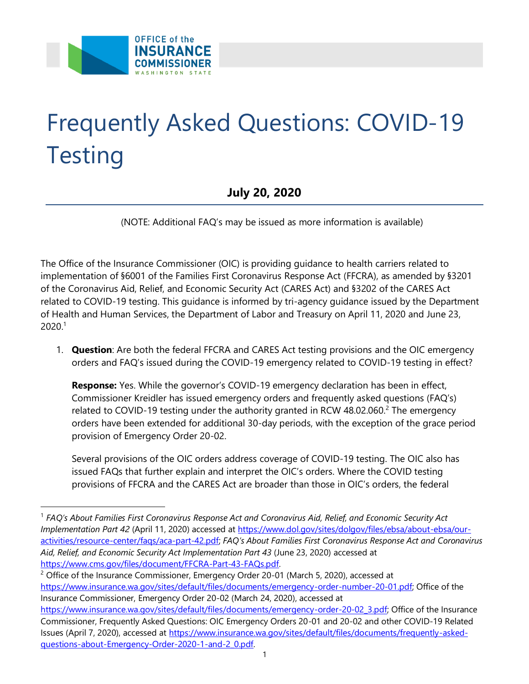

## Frequently Asked Questions: COVID-19 **Testing**

 **July 20, 2020** 

(NOTE: Additional FAQ's may be issued as more information is available)

 The Office of the Insurance Commissioner (OIC) is providing guidance to health carriers related to implementation of §6001 of the Families First Coronavirus Response Act (FFCRA), as amended by §3201 of the Coronavirus Aid, Relief, and Economic Security Act (CARES Act) and §3202 of the CARES Act related to COVID-19 testing. This guidance is informed by tri-agency guidance issued by the Department of Health and Human Services, the Department of Labor and Treasury on April 11, 2020 and June 23,  $2020.<sup>1</sup>$ 

 1. **Question**: Are both the federal FFCRA and CARES Act testing provisions and the OIC emergency orders and FAQ's issued during the COVID-19 emergency related to COVID-19 testing in effect?

 **Response:** Yes. While the governor's COVID-19 emergency declaration has been in effect, Commissioner Kreidler has issued emergency orders and frequently asked questions (FAQ's) related to COVID-19 testing under the authority granted in RCW 48.02.060.<sup>2</sup> The emergency orders have been extended for additional 30-day periods, with the exception of the grace period provision of Emergency Order 20-02.

 Several provisions of the OIC orders address coverage of COVID-19 testing. The OIC also has issued FAQs that further explain and interpret the OIC's orders. Where the COVID testing provisions of FFCRA and the CARES Act are broader than those in OIC's orders, the federal

 <sup>1</sup>*FAQ's About Families First Coronavirus Response Act and Coronavirus Aid, Relief, and Economic Security Act Implementation Part 42* (April 11, 2020) accessed at [https://www.dol.gov/sites/dolgov/files/ebsa/about-ebsa/our-](https://www.dol.gov/sites/dolgov/files/ebsa/about-ebsa/our-activities/resource-center/faqs/aca-part-42.pdf) [activities/resource-center/faqs/aca-part-42.pdf;](https://www.dol.gov/sites/dolgov/files/ebsa/about-ebsa/our-activities/resource-center/faqs/aca-part-42.pdf) *FAQ's About Families First Coronavirus Response Act and Coronavirus Aid, Relief, and Economic Security Act Implementation Part 43* (June 23, 2020) accessed at <u>https://www.cms.gov/files/document/FFCRA-Part-43-FAQs.pdf</u>.<br><sup>2</sup> Office of the Insurance Commissioner, Emergency Order 20-01 (March 5, 2020), accessed at

 [https://www.insurance.wa.gov/sites/default/files/documents/emergency-order-number-20-01.pdf;](https://www.insurance.wa.gov/sites/default/files/documents/emergency-order-number-20-01.pdf) Office of the Insurance Commissioner, Emergency Order 20-02 (March 24, 2020), accessed at [https://www.insurance.wa.gov/sites/default/files/documents/emergency-order-20-02\\_3.pdf;](https://www.insurance.wa.gov/sites/default/files/documents/emergency-order-20-02_3.pdf) Office of the Insurance Commissioner, Frequently Asked Questions: OIC Emergency Orders 20-01 and 20-02 and other COVID-19 Related Issues (April 7, 2020), accessed at [https://www.insurance.wa.gov/sites/default/files/documents/frequently-asked-](https://www.insurance.wa.gov/sites/default/files/documents/frequently-asked-questions-about-Emergency-Order-2020-1-and-2_0.pdf)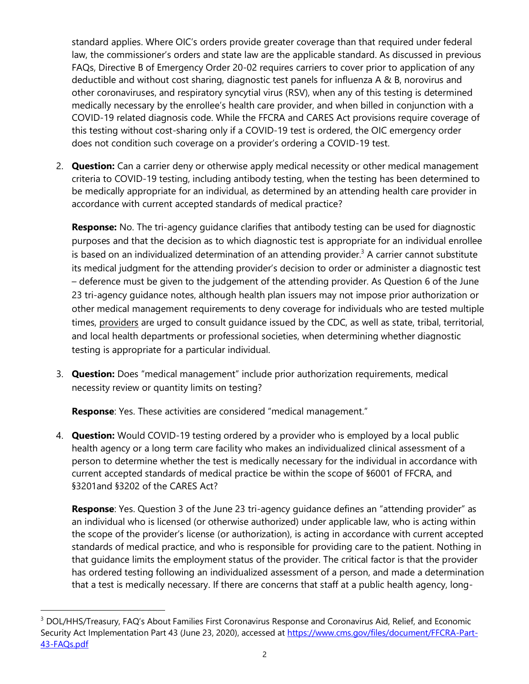standard applies. Where OIC's orders provide greater coverage than that required under federal law, the commissioner's orders and state law are the applicable standard. As discussed in previous FAQs, Directive B of Emergency Order 20-02 requires carriers to cover prior to application of any deductible and without cost sharing, diagnostic test panels for influenza A & B, norovirus and other coronaviruses, and respiratory syncytial virus (RSV), when any of this testing is determined medically necessary by the enrollee's health care provider, and when billed in conjunction with a COVID-19 related diagnosis code. While the FFCRA and CARES Act provisions require coverage of this testing without cost-sharing only if a COVID-19 test is ordered, the OIC emergency order does not condition such coverage on a provider's ordering a COVID-19 test.

 2. **Question:** Can a carrier deny or otherwise apply medical necessity or other medical management criteria to COVID-19 testing, including antibody testing, when the testing has been determined to be medically appropriate for an individual, as determined by an attending health care provider in accordance with current accepted standards of medical practice?

 **Response:** No. The tri-agency guidance clarifies that antibody testing can be used for diagnostic purposes and that the decision as to which diagnostic test is appropriate for an individual enrollee is based on an individualized determination of an attending provider.<sup>3</sup> A carrier cannot substitute its medical judgment for the attending provider's decision to order or administer a diagnostic test – deference must be given to the judgement of the attending provider. As Question 6 of the June 23 tri-agency guidance notes, although health plan issuers may not impose prior authorization or other medical management requirements to deny coverage for individuals who are tested multiple times, providers are urged to consult guidance issued by the CDC, as well as state, tribal, territorial, and local health departments or professional societies, when determining whether diagnostic testing is appropriate for a particular individual.

 3. **Question:** Does "medical management" include prior authorization requirements, medical necessity review or quantity limits on testing?

**Response**: Yes. These activities are considered "medical management."

 4. **Question:** Would COVID-19 testing ordered by a provider who is employed by a local public health agency or a long term care facility who makes an individualized clinical assessment of a person to determine whether the test is medically necessary for the individual in accordance with current accepted standards of medical practice be within the scope of §6001 of FFCRA, and §3201and §3202 of the CARES Act?

 **Response**: Yes. Question 3 of the June 23 tri-agency guidance defines an "attending provider" as an individual who is licensed (or otherwise authorized) under applicable law, who is acting within the scope of the provider's license (or authorization), is acting in accordance with current accepted standards of medical practice, and who is responsible for providing care to the patient. Nothing in that guidance limits the employment status of the provider. The critical factor is that the provider has ordered testing following an individualized assessment of a person, and made a determination that a test is medically necessary. If there are concerns that staff at a public health agency, long-

<sup>&</sup>lt;sup>3</sup> DOL/HHS/Treasury, FAQ's About Families First Coronavirus Response and Coronavirus Aid, Relief, and Economic Security Act Implementation Part 43 (June 23, 2020), accessed at [https://www.cms.gov/files/document/FFCRA-Part-](https://www.cms.gov/files/document/FFCRA-Part-43-FAQs.pdf)[43-FAQs.pdf](https://www.cms.gov/files/document/FFCRA-Part-43-FAQs.pdf)